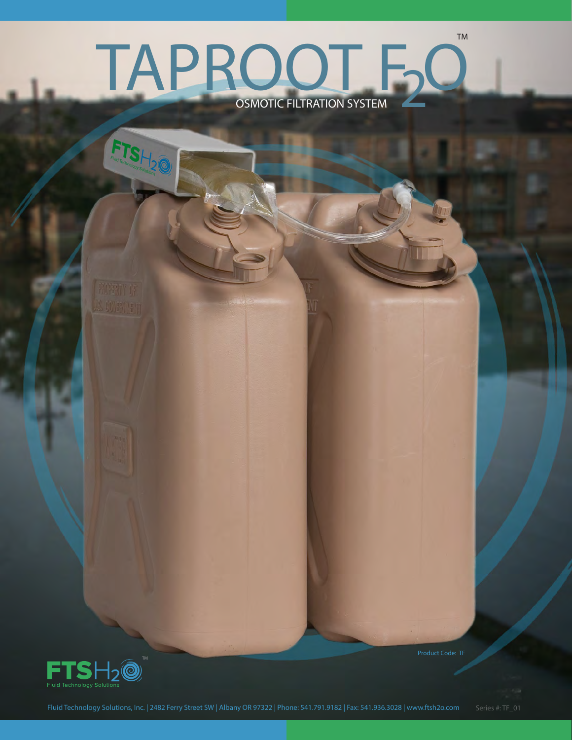## OSMOTIC FILTRATION SYSTEM TM TAPROOT FO